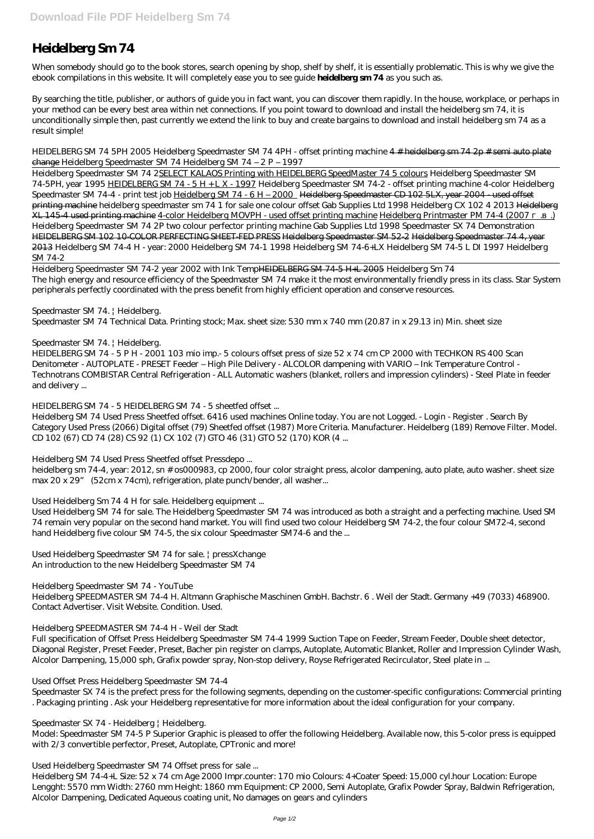# **Heidelberg Sm 74**

When somebody should go to the book stores, search opening by shop, shelf by shelf, it is essentially problematic. This is why we give the ebook compilations in this website. It will completely ease you to see guide **heidelberg sm 74** as you such as.

By searching the title, publisher, or authors of guide you in fact want, you can discover them rapidly. In the house, workplace, or perhaps in your method can be every best area within net connections. If you point toward to download and install the heidelberg sm 74, it is unconditionally simple then, past currently we extend the link to buy and create bargains to download and install heidelberg sm 74 as a result simple!

### *HEIDELBERG SM 74 5PH 2005 Heidelberg Speedmaster SM 74 4PH - offset printing machine* 4 # heidelberg sm 74 2p # semi auto plate change *Heidelberg Speedmaster SM 74 Heidelberg SM 74 – 2 P – 1997*

Heidelberg Speedmaster SM 74 2SELECT KALAOS Printing with HEIDELBERG SpeedMaster 74 5 colours Heidelberg Speedmaster SM 74-5PH, year 1995 HEIDELBERG SM 74 - 5 H + L X - 1997 Heidelberg Speedmaster SM 74-2 - offset printing machine *4-color Heidelberg Speedmaster SM 74-4 - print test job* Heidelberg SM 74 - 6 H – 2000 Heidelberg Speedmaster CD 102 5LX, year 2004 - used offset printing machine heidelberg speedmaster sm 74 1 for sale one colour offset Gab Supplies Ltd 1998 *Heidelberg CX 102 4 2013* Heidelberg XL 145-4 used printing machine 4-color Heidelberg MOVPH - used offset printing machine Heidelberg Printmaster PM 74-4 (2007 ...) *Heidelberg Speedmaster SM 74 2P two colour perfector printing machine Gab Supplies Ltd 1998 Speedmaster SX 74 Demonstration* HEIDELBERG SM 102 10-COLOR PERFECTING SHEET-FED PRESS Heidelberg Speedmaster SM 52-2 Heidelberg Speedmaster 74 4, year 2013 *Heidelberg SM 74-4 H - year: 2000* Heidelberg SM 74-1 *1998 Heidelberg SM 74-6+LX Heidelberg SM 74-5 L DI* 1997 Heidelberg SM 74-2

Used Heidelberg SM 74 for sale. The Heidelberg Speedmaster SM 74 was introduced as both a straight and a perfecting machine. Used SM 74 remain very popular on the second hand market. You will find used two colour Heidelberg SM 74-2, the four colour SM72-4, second hand Heidelberg five colour SM 74-5, the six colour Speedmaster SM74-6 and the ...

Heidelberg Speedmaster SM 74-2 year 2002 with Ink TempHEIDELBERG SM 74-5 H+L 2005 *Heidelberg Sm 74* The high energy and resource efficiency of the Speedmaster SM 74 make it the most environmentally friendly press in its class. Star System peripherals perfectly coordinated with the press benefit from highly efficient operation and conserve resources.

## *Speedmaster SM 74. | Heidelberg.*

Speedmaster SM 74 Technical Data. Printing stock; Max. sheet size: 530 mm x 740 mm (20.87 in x 29.13 in) Min. sheet size

## *Speedmaster SM 74. | Heidelberg.*

HEIDELBERG SM 74 - 5 P H - 2001 103 mio imp.- 5 colours offset press of size 52 x 74 cm CP 2000 with TECHKON RS 400 Scan Denitometer - AUTOPLATE - PRESET Feeder – High Pile Delivery - ALCOLOR dampening with VARIO – Ink Temperature Control - Technotrans COMBISTAR Central Refrigeration - ALL Automatic washers (blanket, rollers and impression cylinders) - Steel Plate in feeder and delivery ...

## *HEIDELBERG SM 74 - 5 HEIDELBERG SM 74 - 5 sheetfed offset ...*

Heidelberg SM 74 Used Press Sheetfed offset. 6416 used machines Online today. You are not Logged. - Login - Register . Search By Category Used Press (2066) Digital offset (79) Sheetfed offset (1987) More Criteria. Manufacturer. Heidelberg (189) Remove Filter. Model. CD 102 (67) CD 74 (28) CS 92 (1) CX 102 (7) GTO 46 (31) GTO 52 (170) KOR (4 ...

## *Heidelberg SM 74 Used Press Sheetfed offset Pressdepo ...*

heidelberg sm 74-4, year: 2012, sn # os000983, cp 2000, four color straight press, alcolor dampening, auto plate, auto washer. sheet size max 20 x 29" (52cm x 74cm), refrigeration, plate punch/bender, all washer...

## *Used Heidelberg Sm 74 4 H for sale. Heidelberg equipment ...*

*Used Heidelberg Speedmaster SM 74 for sale. | pressXchange* An introduction to the new Heidelberg Speedmaster SM 74

*Heidelberg Speedmaster SM 74 - YouTube* Heidelberg SPEEDMASTER SM 74-4 H. Altmann Graphische Maschinen GmbH. Bachstr. 6 . Weil der Stadt. Germany +49 (7033) 468900. Contact Advertiser. Visit Website. Condition. Used.

## *Heidelberg SPEEDMASTER SM 74-4 H - Weil der Stadt*

Full specification of Offset Press Heidelberg Speedmaster SM 74-4 1999 Suction Tape on Feeder, Stream Feeder, Double sheet detector, Diagonal Register, Preset Feeder, Preset, Bacher pin register on clamps, Autoplate, Automatic Blanket, Roller and Impression Cylinder Wash, Alcolor Dampening, 15,000 sph, Grafix powder spray, Non-stop delivery, Royse Refrigerated Recirculator, Steel plate in ...

#### *Used Offset Press Heidelberg Speedmaster SM 74-4*

Speedmaster SX 74 is the prefect press for the following segments, depending on the customer-specific configurations: Commercial printing . Packaging printing . Ask your Heidelberg representative for more information about the ideal configuration for your company.

#### *Speedmaster SX 74 - Heidelberg | Heidelberg.*

Model: Speedmaster SM 74-5 P Superior Graphic is pleased to offer the following Heidelberg. Available now, this 5-color press is equipped with 2/3 convertible perfector, Preset, Autoplate, CPTronic and more!

#### *Used Heidelberg Speedmaster SM 74 Offset press for sale ...*

Heidelberg SM 74-4+L Size: 52 x 74 cm Age 2000 Impr.counter: 170 mio Colours: 4+Coater Speed: 15,000 cyl.hour Location: Europe Lengght: 5570 mm Width: 2760 mm Height: 1860 mm Equipment: CP 2000, Semi Autoplate, Grafix Powder Spray, Baldwin Refrigeration, Alcolor Dampening, Dedicated Aqueous coating unit, No damages on gears and cylinders